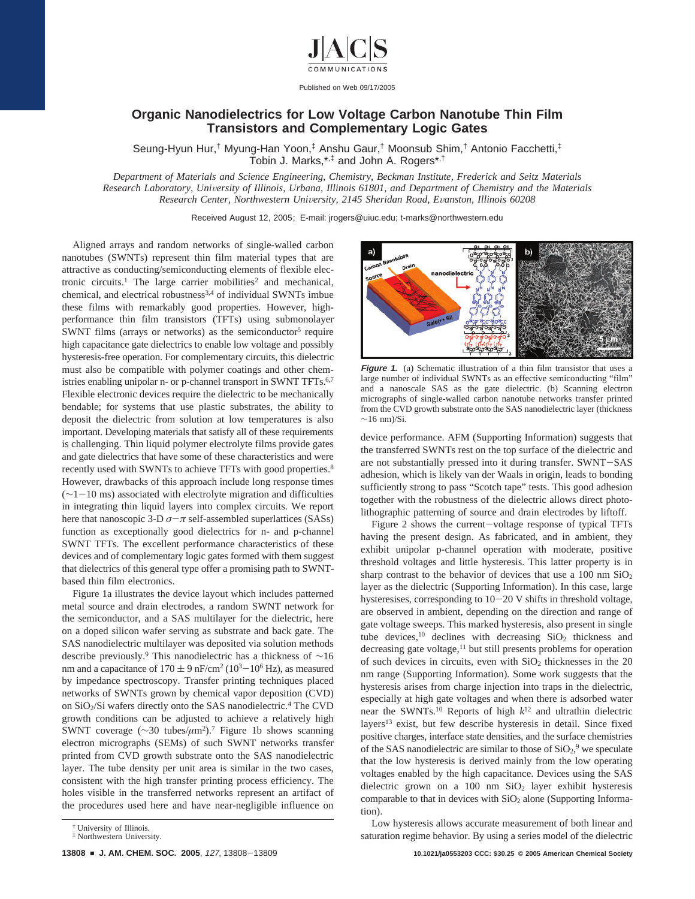

Published on Web 09/17/2005

## **Organic Nanodielectrics for Low Voltage Carbon Nanotube Thin Film Transistors and Complementary Logic Gates**

Seung-Hyun Hur,† Myung-Han Yoon,‡ Anshu Gaur,† Moonsub Shim,† Antonio Facchetti,‡ Tobin J. Marks,\*,‡ and John A. Rogers\*,†

*Department of Materials and Science Engineering, Chemistry, Beckman Institute, Frederick and Seitz Materials Research Laboratory, Uni*V*ersity of Illinois, Urbana, Illinois 61801, and Department of Chemistry and the Materials Research Center, Northwestern Uni*V*ersity, 2145 Sheridan Road, E*V*anston, Illinois 60208*

Received August 12, 2005; E-mail: jrogers@uiuc.edu; t-marks@northwestern.edu

Aligned arrays and random networks of single-walled carbon nanotubes (SWNTs) represent thin film material types that are attractive as conducting/semiconducting elements of flexible electronic circuits.<sup>1</sup> The large carrier mobilities<sup>2</sup> and mechanical, chemical, and electrical robustness<sup>3,4</sup> of individual SWNTs imbue these films with remarkably good properties. However, highperformance thin film transistors (TFTs) using submonolayer SWNT films (arrays or networks) as the semiconductor<sup>5</sup> require high capacitance gate dielectrics to enable low voltage and possibly hysteresis-free operation. For complementary circuits, this dielectric must also be compatible with polymer coatings and other chemistries enabling unipolar n- or p-channel transport in SWNT TFTs.<sup>6,7</sup> Flexible electronic devices require the dielectric to be mechanically bendable; for systems that use plastic substrates, the ability to deposit the dielectric from solution at low temperatures is also important. Developing materials that satisfy all of these requirements is challenging. Thin liquid polymer electrolyte films provide gates and gate dielectrics that have some of these characteristics and were recently used with SWNTs to achieve TFTs with good properties.8 However, drawbacks of this approach include long response times (∼1-10 ms) associated with electrolyte migration and difficulties in integrating thin liquid layers into complex circuits. We report here that nanoscopic 3-D  $\sigma$ - $\pi$  self-assembled superlattices (SASs) function as exceptionally good dielectrics for n- and p-channel SWNT TFTs. The excellent performance characteristics of these devices and of complementary logic gates formed with them suggest that dielectrics of this general type offer a promising path to SWNTbased thin film electronics.

Figure 1a illustrates the device layout which includes patterned metal source and drain electrodes, a random SWNT network for the semiconductor, and a SAS multilayer for the dielectric, here on a doped silicon wafer serving as substrate and back gate. The SAS nanodielectric multilayer was deposited via solution methods describe previously.9 This nanodielectric has a thickness of ∼16 nm and a capacitance of  $170 \pm 9$  nF/cm<sup>2</sup> ( $10^{3}-10^{6}$  Hz), as measured by impedance spectroscopy. Transfer printing techniques placed networks of SWNTs grown by chemical vapor deposition (CVD) on SiO<sub>2</sub>/Si wafers directly onto the SAS nanodielectric.<sup>4</sup> The CVD growth conditions can be adjusted to achieve a relatively high SWNT coverage (∼30 tubes/*µ*m2).7 Figure 1b shows scanning electron micrographs (SEMs) of such SWNT networks transfer printed from CVD growth substrate onto the SAS nanodielectric layer. The tube density per unit area is similar in the two cases, consistent with the high transfer printing process efficiency. The holes visible in the transferred networks represent an artifact of the procedures used here and have near-negligible influence on



**Figure 1.** (a) Schematic illustration of a thin film transistor that uses a large number of individual SWNTs as an effective semiconducting "film" and a nanoscale SAS as the gate dielectric. (b) Scanning electron micrographs of single-walled carbon nanotube networks transfer printed from the CVD growth substrate onto the SAS nanodielectric layer (thickness  $\sim$ 16 nm)/Si.

device performance. AFM (Supporting Information) suggests that the transferred SWNTs rest on the top surface of the dielectric and are not substantially pressed into it during transfer. SWNT-SAS adhesion, which is likely van der Waals in origin, leads to bonding sufficiently strong to pass "Scotch tape" tests. This good adhesion together with the robustness of the dielectric allows direct photolithographic patterning of source and drain electrodes by liftoff.

Figure 2 shows the current-voltage response of typical TFTs having the present design. As fabricated, and in ambient, they exhibit unipolar p-channel operation with moderate, positive threshold voltages and little hysteresis. This latter property is in sharp contrast to the behavior of devices that use a 100 nm  $SiO<sub>2</sub>$ layer as the dielectric (Supporting Information). In this case, large hysteresises, corresponding to  $10-20$  V shifts in threshold voltage, are observed in ambient, depending on the direction and range of gate voltage sweeps. This marked hysteresis, also present in single tube devices,<sup>10</sup> declines with decreasing  $SiO<sub>2</sub>$  thickness and decreasing gate voltage,<sup>11</sup> but still presents problems for operation of such devices in circuits, even with  $SiO<sub>2</sub>$  thicknesses in the 20 nm range (Supporting Information). Some work suggests that the hysteresis arises from charge injection into traps in the dielectric, especially at high gate voltages and when there is adsorbed water near the SWNTs.10 Reports of high *k*<sup>12</sup> and ultrathin dielectric layers<sup>13</sup> exist, but few describe hysteresis in detail. Since fixed positive charges, interface state densities, and the surface chemistries of the SAS nanodielectric are similar to those of  $SiO<sub>2</sub>$ <sup>9</sup> we speculate that the low hysteresis is derived mainly from the low operating voltages enabled by the high capacitance. Devices using the SAS dielectric grown on a 100 nm SiO<sub>2</sub> layer exhibit hysteresis comparable to that in devices with  $SiO<sub>2</sub>$  alone (Supporting Information).

Low hysteresis allows accurate measurement of both linear and saturation regime behavior. By using a series model of the dielectric

<sup>†</sup> University of Illinois. ‡ Northwestern University.